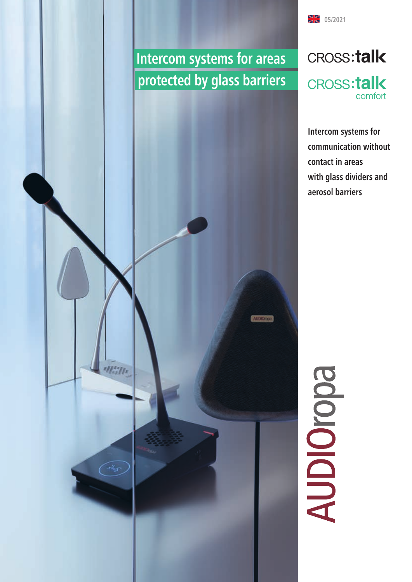# **Intercom systems for areas protected by glass barriers**

alizna



**14** 05/2021

**CROSS:talk** 

comfort

# **Edololopy**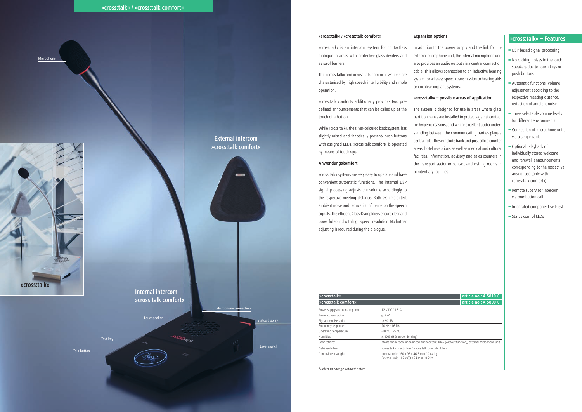# **»cross:talk« – Features**

- DSP-based signal processing
- ▄ No clicking noises in the loudspeakers due to touch keys or push buttons
- ▄ Automatic functions: Volume adjustment according to the respective meeting distance, reduction of ambient noise
- ▄ Three selectable volume levels for different environments
- Connection of microphone units via a single cable
- ▄ Optional: Playback of individually stored welcome and farewell announcements corresponding to the respective area of use (only with »cross:talk comfort«)
- Remote supervisor intercom via one-button call
- ▄ Integrated component self-test
- Status control LEDs

### **»cross:talk« / »cross:talk comfort«**

»cross:talk« is an intercom system for contactless dialogue in areas with protective glass dividers and aerosol barriers.

The »cross:talk« and »cross:talk comfort« systems are characterised by high speech intelligibility and simple operation.

»cross:talk comfort« additionally provides two predefined announcements that can be called up at the touch of a button.

While »cross:talk«, the silver-coloured basic system, has slightly raised and ›haptically present‹ push-buttons with assigned LEDs, »cross:talk comfort« is operated by means of touchkeys.

### **Anwendungskomfort**

»cross:talk« systems are very easy to operate and have convenient automatic functions. The internal DSP signal processing adjusts the volume accordingly to the respective meeting distance. Both systems detect ambient noise and reduce its influence on the speech signals. The efficient Class-D amplifiers ensure clear and powerful sound with high speech resolution. No further adjusting is required during the dialogue.

| »cross:talk«                  |                                                                                              | article no.: A-5810-0 |
|-------------------------------|----------------------------------------------------------------------------------------------|-----------------------|
| »cross:talk comfort«          |                                                                                              | article no.: A-5800-0 |
| Power supply and consumption: | 12 V DC / 1.5 A                                                                              |                       |
| Power consumption:            | $\leq$ 5 W                                                                                   |                       |
| Signal-to-noise ratio:        | $\geq 90$ dB                                                                                 |                       |
| Frequency response:           | 20 Hz - 16 kHz                                                                               |                       |
| Operating temperature         | $-10 °C - 55 °C$                                                                             |                       |
| Humidity:                     | $\leq$ 90% rH (non-condensing)                                                               |                       |
| Connections:                  | Mains connection, unbalanced audio output, RJ45 (without function), external microphone unit |                       |
| Gehäusefarben                 | »cross:talk«: matt silver / »cross:talk comfort«: black                                      |                       |
| Dimensions / weight:          | Internal unit: 160 x 95 x 46.5 mm / 0.44 kg                                                  |                       |
|                               | External unit: 102 x 83 x 24 mm / 0.2 kg                                                     |                       |



Subject to change without notice



Microphone

## **Expansion options**

In addition to the power supply and the link for the external microphone unit, the internal microphone unit also provides an audio output via a central connection cable. This allows connection to an inductive hearing system for wireless speech transmission to hearing aids or cochlear implant systems.

## **»cross:talk« – possible areas of application**

The system is designed for use in areas where glass partition panes are installed to protect against contact for hygienic reasons, and where excellent audio understanding between the communicating parties plays a central role. These include bank and post office counter areas, hotel receptions as well as medical and cultural facilities, information, advisory and sales counters in the transport sector or contact and visiting rooms in penitentiary facilities.